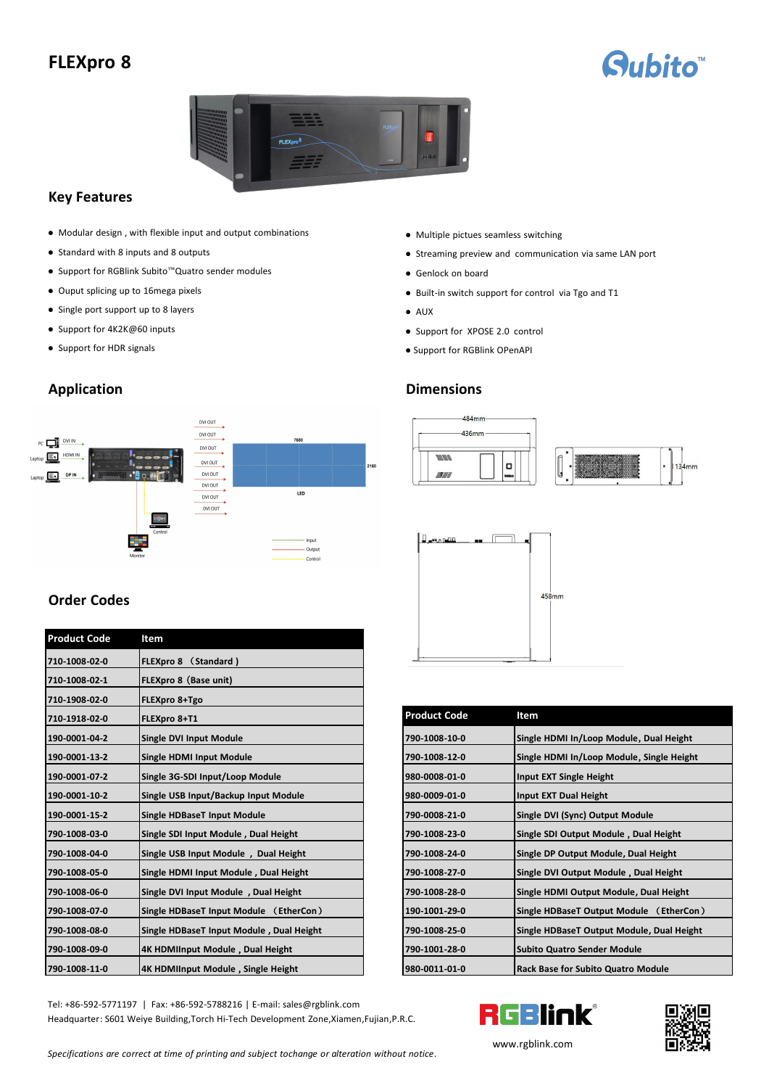# **FLEXpro 8**





# **Key Features**

- Modular design, with flexible input and output combinations Multiple pictues seamless switching
- 
- Support for RGBlink Subito<sup>™</sup>Quatro sender modules Genlock on board
- 
- Single port support up to 8 layers AUX AUX
- 
- 

DVI OUT J. DVI OUT PC OVIIN 7680 DVI OUT  $p \xrightarrow{\text{EM} \text{HDM} \text{IN}}$ DVI OUT  $\overrightarrow{D}$ DVI OUT  $\overrightarrow{DVI OUT}$ LED  $\n **DVI OUT**\n$ Output

# **Order Codes**

| <b>Product Code</b> | Item                                     |                     |                                           |
|---------------------|------------------------------------------|---------------------|-------------------------------------------|
| 710-1008-02-0       | FLEXpro 8 (Standard)                     |                     |                                           |
| 710-1008-02-1       | FLEXpro 8 (Base unit)                    |                     |                                           |
| 710-1908-02-0       | FLEXpro 8+Tgo                            |                     |                                           |
| 710-1918-02-0       | FLEXpro 8+T1                             | <b>Product Code</b> | Item                                      |
| 190-0001-04-2       | <b>Single DVI Input Module</b>           | 790-1008-10-0       | Single HDMI In/Loop Module, Dual Height   |
| 190-0001-13-2       | Single HDMI Input Module                 | 790-1008-12-0       | Single HDMI In/Loop Module, Single Height |
| 190-0001-07-2       | Single 3G-SDI Input/Loop Module          | 980-0008-01-0       | Input EXT Single Height                   |
| 190-0001-10-2       | Single USB Input/Backup Input Module     | 980-0009-01-0       | Input EXT Dual Height                     |
| 190-0001-15-2       | <b>Single HDBaseT Input Module</b>       | 790-0008-21-0       | Single DVI (Sync) Output Module           |
| 790-1008-03-0       | Single SDI Input Module, Dual Height     | 790-1008-23-0       | Single SDI Output Module, Dual Height     |
| 790-1008-04-0       | Single USB Input Module, Dual Height     | 790-1008-24-0       | Single DP Output Module, Dual Height      |
| 790-1008-05-0       | Single HDMI Input Module, Dual Height    | 790-1008-27-0       | Single DVI Output Module, Dual Height     |
| 790-1008-06-0       | Single DVI Input Module, Dual Height     | 790-1008-28-0       | Single HDMI Output Module, Dual Height    |
| 790-1008-07-0       | Single HDBaseT Input Module (EtherCon)   | 190-1001-29-0       | Single HDBaseT Output Module (EtherCon)   |
| 790-1008-08-0       | Single HDBaseT Input Module, Dual Height | 790-1008-25-0       | Single HDBaseT Output Module, Dual Height |
| 790-1008-09-0       | 4K HDMIInput Module, Dual Height         | 790-1001-28-0       | <b>Subito Quatro Sender Module</b>        |
| 790-1008-11-0       | 4K HDMIInput Module, Single Height       | 980-0011-01-0       | <b>Rack Base for Subito Quatro Module</b> |

Tel: +86-592-5771197 | Fax: +86-592-5788216 | E-mail: sales@rgblink.com<br>Headquarter: S601 Weiye Building, Torch Hi-Tech Development Zone, Xiamen, Fujian, P.R.C. Headquarter: S601 Weiye Building,Torch Hi-Tech Development Zone,Xiamen,Fujian,P.R.C.

- 
- Standard with 8 inputs and 8 outputs <br>● Streaming preview and communication via same LAN port
	-
- Ouput splicing up to 16mega pixels <br>● Built-in switch support for control via Tgo and T1
	-
- Support for 4K2K@60 inputs Support for XPOSE 2.0 control
- Support for HDR signals Support for RGBlink OPenAPI

# **Application Dimensions**





| 710-1918-02-0 | <b>FLEXpro 8+T1</b>                      | <b>Product Code</b> | Item                                       |
|---------------|------------------------------------------|---------------------|--------------------------------------------|
| 190-0001-04-2 | Single DVI Input Module                  | 790-1008-10-0       | Single HDMI In/Loop Module, Dual Height    |
| 190-0001-13-2 | Single HDMI Input Module                 | 790-1008-12-0       | Single HDMI In/Loop Module, Single Height  |
| 190-0001-07-2 | Single 3G-SDI Input/Loop Module          | 980-0008-01-0       | Input EXT Single Height                    |
| 190-0001-10-2 | Single USB Input/Backup Input Module     | 980-0009-01-0       | Input EXT Dual Height                      |
| 190-0001-15-2 | <b>Single HDBaseT Input Module</b>       | 790-0008-21-0       | Single DVI (Sync) Output Module            |
| 790-1008-03-0 | Single SDI Input Module, Dual Height     | 790-1008-23-0       | Single SDI Output Module, Dual Height      |
| 790-1008-04-0 | Single USB Input Module, Dual Height     | 790-1008-24-0       | Single DP Output Module, Dual Height       |
| 790-1008-05-0 | Single HDMI Input Module, Dual Height    | 790-1008-27-0       | Single DVI Output Module, Dual Height      |
| 790-1008-06-0 | Single DVI Input Module, Dual Height     | 790-1008-28-0       | Single HDMI Output Module, Dual Height     |
| 790-1008-07-0 | Single HDBaseT Input Module (EtherCon)   | 190-1001-29-0       | Single HDBaseT Output Module (EtherCon)    |
| 790-1008-08-0 | Single HDBaseT Input Module, Dual Height | 790-1008-25-0       | Single HDBaseT Output Module, Dual Height  |
| 790-1008-09-0 | 4K HDMIInput Module, Dual Height         | 790-1001-28-0       | <b>Subito Quatro Sender Module</b>         |
| 790-1008-11-0 | 14K HDMIInput Module, Single Height      | 980-0011-01-0       | <b>IRack Base for Subito Quatro Module</b> |





[www](http://www.rgblink.com).rgblink.com